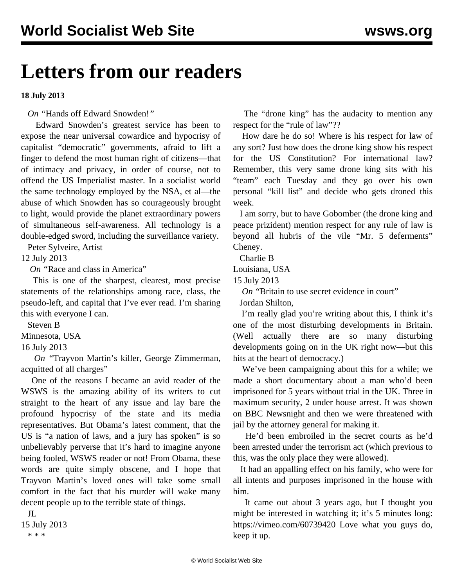## **Letters from our readers**

**18 July 2013**

*On "*[Hands off Edward Snowden!](/en/articles/2013/07/09/pers-j09.html)*"*

 Edward Snowden's greatest service has been to expose the near universal cowardice and hypocrisy of capitalist "democratic" governments, afraid to lift a finger to defend the most human right of citizens—that of intimacy and privacy, in order of course, not to offend the US Imperialist master. In a socialist world the same technology employed by the NSA, et al—the abuse of which Snowden has so courageously brought to light, would provide the planet extraordinary powers of simultaneous self-awareness. All technology is a double-edged sword, including the surveillance variety.

Peter Sylveire, Artist

12 July 2013

*On "*[Race and class in America"](/en/articles/2013/07/16/pers-j16.html)

 This is one of the sharpest, clearest, most precise statements of the relationships among race, class, the pseudo-left, and capital that I've ever read. I'm sharing this with everyone I can.

Steven B

Minnesota, USA

16 July 2013

 *On "*[Trayvon Martin's killer, George Zimmerman,](/en/articles/2013/07/15/zimm-j15.html) [acquitted of all charges"](/en/articles/2013/07/15/zimm-j15.html)

 One of the reasons I became an avid reader of the WSWS is the amazing ability of its writers to cut straight to the heart of any issue and lay bare the profound hypocrisy of the state and its media representatives. But Obama's latest comment, that the US is "a nation of laws, and a jury has spoken" is so unbelievably perverse that it's hard to imagine anyone being fooled, WSWS reader or not! From Obama, these words are quite simply obscene, and I hope that Trayvon Martin's loved ones will take some small comfort in the fact that his murder will wake many decent people up to the terrible state of things.

 JL 15 July 2013 \* \* \*

 The "drone king" has the audacity to mention any respect for the "rule of law"??

 How dare he do so! Where is his respect for law of any sort? Just how does the drone king show his respect for the US Constitution? For international law? Remember, this very same drone king sits with his "team" each Tuesday and they go over his own personal "kill list" and decide who gets droned this week.

 I am sorry, but to have Gobomber (the drone king and peace prizident) mention respect for any rule of law is beyond all hubris of the vile "Mr. 5 deferments" Cheney.

Charlie B

Louisiana, USA

15 July 2013

*On* "[Britain to use secret evidence in court"](/en/articles/2013/07/15/jsa-j15.html)

Jordan Shilton,

 I'm really glad you're writing about this, I think it's one of the most disturbing developments in Britain. (Well actually there are so many disturbing developments going on in the UK right now—but this hits at the heart of democracy.)

 We've been campaigning about this for a while; we made a short documentary about a man who'd been imprisoned for 5 years without trial in the UK. Three in maximum security, 2 under house arrest. It was shown on BBC Newsnight and then we were threatened with jail by the attorney general for making it.

 He'd been embroiled in the secret courts as he'd been arrested under the terrorism act (which previous to this, was the only place they were allowed).

 It had an appalling effect on his family, who were for all intents and purposes imprisoned in the house with him.

 It came out about 3 years ago, but I thought you might be interested in watching it; it's 5 minutes long: <https://vimeo.com/60739420>Love what you guys do, keep it up.